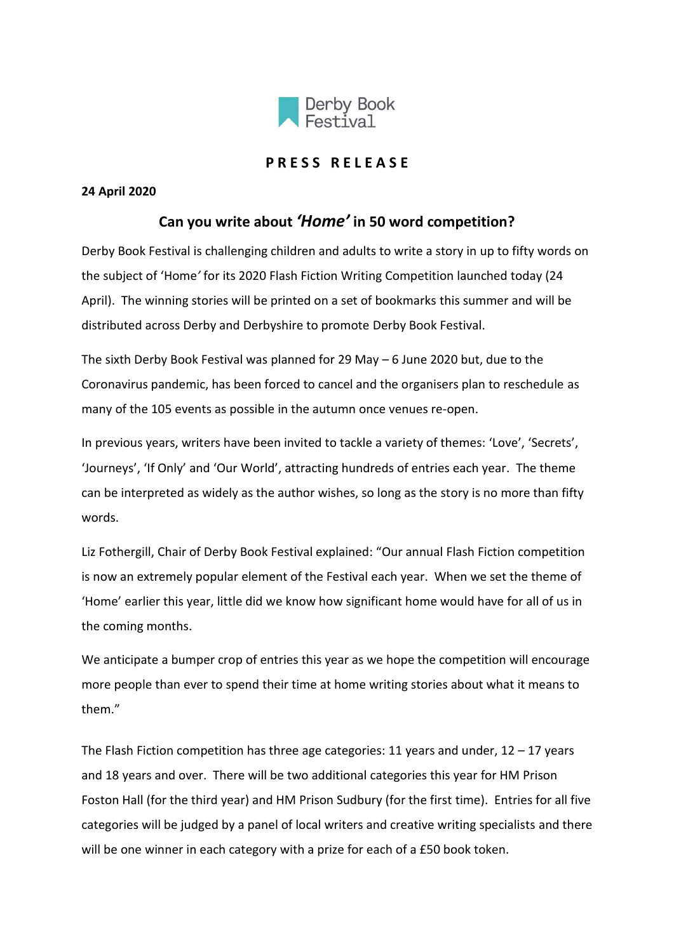

## **P R E S S R E L E A S E**

## **24 April 2020**

## **Can you write about** *'Home'* **in 50 word competition?**

Derby Book Festival is challenging children and adults to write a story in up to fifty words on the subject of 'Home*'* for its 2020 Flash Fiction Writing Competition launched today (24 April). The winning stories will be printed on a set of bookmarks this summer and will be distributed across Derby and Derbyshire to promote Derby Book Festival.

The sixth Derby Book Festival was planned for 29 May – 6 June 2020 but, due to the Coronavirus pandemic, has been forced to cancel and the organisers plan to reschedule as many of the 105 events as possible in the autumn once venues re-open.

In previous years, writers have been invited to tackle a variety of themes: 'Love', 'Secrets', 'Journeys', 'If Only' and 'Our World', attracting hundreds of entries each year. The theme can be interpreted as widely as the author wishes, so long as the story is no more than fifty words.

Liz Fothergill, Chair of Derby Book Festival explained: "Our annual Flash Fiction competition is now an extremely popular element of the Festival each year. When we set the theme of 'Home' earlier this year, little did we know how significant home would have for all of us in the coming months.

We anticipate a bumper crop of entries this year as we hope the competition will encourage more people than ever to spend their time at home writing stories about what it means to them."

The Flash Fiction competition has three age categories: 11 years and under,  $12 - 17$  years and 18 years and over. There will be two additional categories this year for HM Prison Foston Hall (for the third year) and HM Prison Sudbury (for the first time). Entries for all five categories will be judged by a panel of local writers and creative writing specialists and there will be one winner in each category with a prize for each of a £50 book token.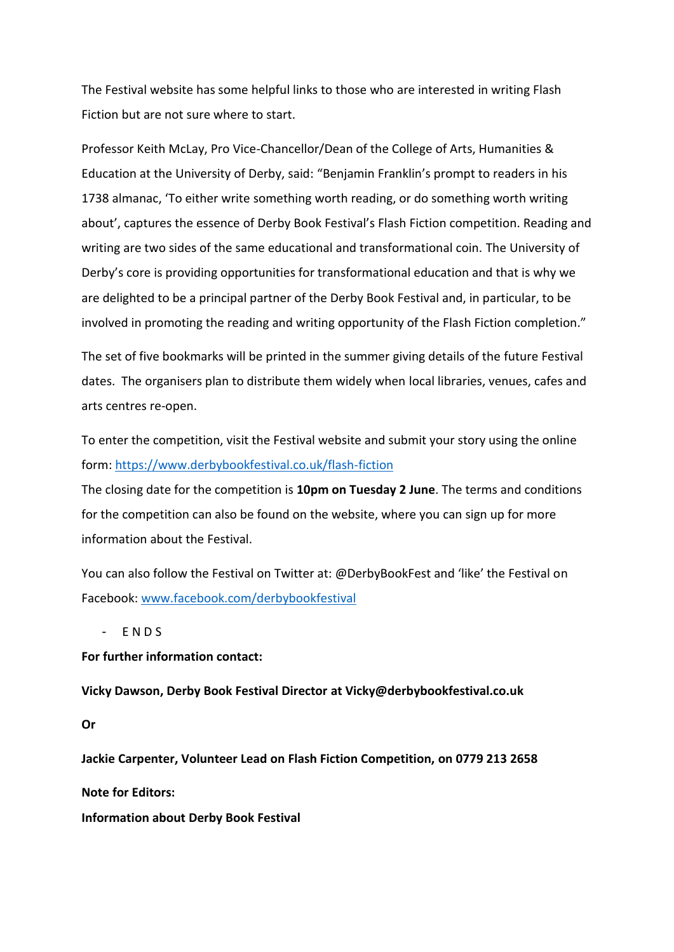The Festival website has some helpful links to those who are interested in writing Flash Fiction but are not sure where to start.

Professor Keith McLay, Pro Vice-Chancellor/Dean of the College of Arts, Humanities & Education at the University of Derby, said: "Benjamin Franklin's prompt to readers in his 1738 almanac, 'To either write something worth reading, or do something worth writing about', captures the essence of Derby Book Festival's Flash Fiction competition. Reading and writing are two sides of the same educational and transformational coin. The University of Derby's core is providing opportunities for transformational education and that is why we are delighted to be a principal partner of the Derby Book Festival and, in particular, to be involved in promoting the reading and writing opportunity of the Flash Fiction completion."

The set of five bookmarks will be printed in the summer giving details of the future Festival dates. The organisers plan to distribute them widely when local libraries, venues, cafes and arts centres re-open.

To enter the competition, visit the Festival website and submit your story using the online form: <https://www.derbybookfestival.co.uk/flash-fiction>

The closing date for the competition is **10pm on Tuesday 2 June**. The terms and conditions for the competition can also be found on the website, where you can sign up for more information about the Festival.

You can also follow the Festival on Twitter at: @DerbyBookFest and 'like' the Festival on Facebook[: www.facebook.com/derbybookfestival](http://www.facebook.com/derbybookfestival)

E N D S

**For further information contact:**

**Vicky Dawson, Derby Book Festival Director at Vicky@derbybookfestival.co.uk**

**Or**

**Jackie Carpenter, Volunteer Lead on Flash Fiction Competition, on 0779 213 2658**

**Note for Editors:**

**Information about Derby Book Festival**